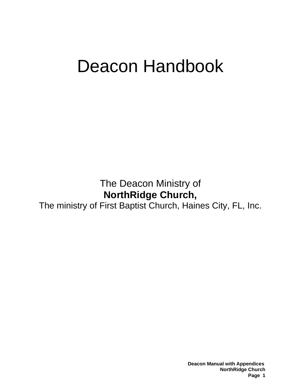# Deacon Handbook

The Deacon Ministry of **NorthRidge Church,** 

The ministry of First Baptist Church, Haines City, FL, Inc.

 **Deacon Manual with Appendices NorthRidge Church Page 1**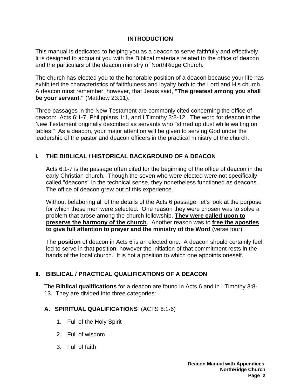#### **INTRODUCTION**

This manual is dedicated to helping you as a deacon to serve faithfully and effectively. It is designed to acquaint you with the Biblical materials related to the office of deacon and the particulars of the deacon ministry of NorthRidge Church.

The church has elected you to the honorable position of a deacon because your life has exhibited the characteristics of faithfulness and loyalty both to the Lord and His church. A deacon must remember, however, that Jesus said, **"The greatest among you shall be your servant."** (Matthew 23:11).

Three passages in the New Testament are commonly cited concerning the office of deacon: Acts 6:1-7, Philippians 1:1, and I Timothy 3:8-12. The word for deacon in the New Testament originally described as servants who "stirred up dust while waiting on tables." As a deacon, your major attention will be given to serving God under the leadership of the pastor and deacon officers in the practical ministry of the church.

#### **I. THE BIBLICAL / HISTORICAL BACKGROUND OF A DEACON**

Acts 6:1-7 is the passage often cited for the beginning of the office of deacon in the early Christian church. Though the seven who were elected were not specifically called "deacons" in the technical sense, they nonetheless functioned as deacons. The office of deacon grew out of this experience.

Without belaboring all of the details of the Acts 6 passage, let's look at the purpose for which these men were selected. One reason they were chosen was to solve a problem that arose among the church fellowship. **They were called upon to preserve the harmony of the church**. Another reason was to **free the apostles to give full attention to prayer and the ministry of the Word** (verse four).

The **position** of deacon in Acts 6 is an elected one. A deacon should certainly feel led to serve in that position; however the initiation of that commitment rests in the hands of the local church. It is not a position to which one appoints oneself.

#### **II. BIBLICAL / PRACTICAL QUALIFICATIONS OF A DEACON**

The **Biblical qualifications** for a deacon are found in Acts 6 and in I Timothy 3:8- 13. They are divided into three categories:

#### **A. SPIRITUAL QUALIFICATIONS** (ACTS 6:1-6)

- 1. Full of the Holy Spirit
- 2. Full of wisdom
- 3. Full of faith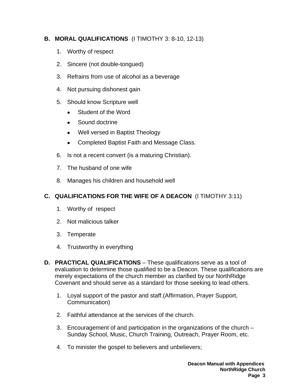#### **B. MORAL QUALIFICATIONS** (I TIMOTHY 3: 8-10, 12-13)

- 1. Worthy of respect
- 2. Sincere (not double-tongued)
- 3. Refrains from use of alcohol as a beverage
- 4. Not pursuing dishonest gain
- 5. Should know Scripture well
	- Student of the Word
	- Sound doctrine
	- Well versed in Baptist Theology
	- Completed Baptist Faith and Message Class.
- 6. Is not a recent convert (is a maturing Christian).
- 7. The husband of one wife
- 8. Manages his children and household well

#### **C. QUALIFICATIONS FOR THE WIFE OF A DEACON** (I TIMOTHY 3:11)

- 1. Worthy of respect
- 2. Not malicious talker
- 3. Temperate
- 4. Trustworthy in everything
- **D. PRACTICAL QUALIFICATIONS** These qualifications serve as a tool of evaluation to determine those qualified to be a Deacon. These qualifications are merely expectations of the church member as clarified by our NorthRidge Covenant and should serve as a standard for those seeking to lead others.
	- 1. Loyal support of the pastor and staff.(Affirmation, Prayer Support, Communication)
	- 2. Faithful attendance at the services of the church.
	- 3. Encouragement of and participation in the organizations of the church Sunday School, Music, Church Training, Outreach, Prayer Room, etc.
	- 4. To minister the gospel to believers and unbelievers;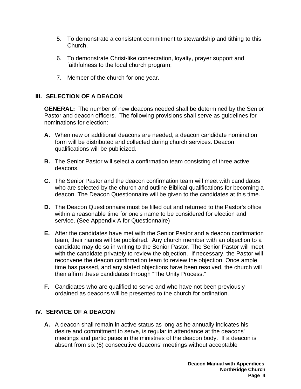- 5. To demonstrate a consistent commitment to stewardship and tithing to this Church.
- 6. To demonstrate Christ-like consecration, loyalty, prayer support and faithfulness to the local church program;
- 7. Member of the church for one year.

#### **III. SELECTION OF A DEACON**

**GENERAL:** The number of new deacons needed shall be determined by the Senior Pastor and deacon officers. The following provisions shall serve as guidelines for nominations for election:

- **A.** When new or additional deacons are needed, a deacon candidate nomination form will be distributed and collected during church services. Deacon qualifications will be publicized.
- **B.** The Senior Pastor will select a confirmation team consisting of three active deacons.
- **C.** The Senior Pastor and the deacon confirmation team will meet with candidates who are selected by the church and outline Biblical qualifications for becoming a deacon. The Deacon Questionnaire will be given to the candidates at this time.
- **D.** The Deacon Questionnaire must be filled out and returned to the Pastor's office within a reasonable time for one's name to be considered for election and service. (See Appendix A for Questionnaire)
- **E.** After the candidates have met with the Senior Pastor and a deacon confirmation team, their names will be published. Any church member with an objection to a candidate may do so in writing to the Senior Pastor. The Senior Pastor will meet with the candidate privately to review the objection. If necessary, the Pastor will reconvene the deacon confirmation team to review the objection. Once ample time has passed, and any stated objections have been resolved, the church will then affirm these candidates through "The Unity Process."
- **F.** Candidates who are qualified to serve and who have not been previously ordained as deacons will be presented to the church for ordination.

#### **IV. SERVICE OF A DEACON**

**A.** A deacon shall remain in active status as long as he annually indicates his desire and commitment to serve, is regular in attendance at the deacons' meetings and participates in the ministries of the deacon body. If a deacon is absent from six (6) consecutive deacons' meetings without acceptable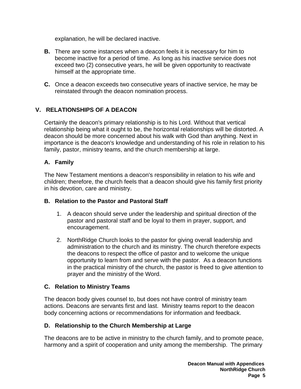explanation, he will be declared inactive.

- **B.** There are some instances when a deacon feels it is necessary for him to become inactive for a period of time. As long as his inactive service does not exceed two (2) consecutive years, he will be given opportunity to reactivate himself at the appropriate time.
- **C.** Once a deacon exceeds two consecutive years of inactive service, he may be reinstated through the deacon nomination process.

#### **V. RELATIONSHIPS OF A DEACON**

Certainly the deacon's primary relationship is to his Lord. Without that vertical relationship being what it ought to be, the horizontal relationships will be distorted. A deacon should be more concerned about his walk with God than anything. Next in importance is the deacon's knowledge and understanding of his role in relation to his family, pastor, ministry teams, and the church membership at large.

#### **A. Family**

The New Testament mentions a deacon's responsibility in relation to his wife and children; therefore, the church feels that a deacon should give his family first priority in his devotion, care and ministry.

#### **B. Relation to the Pastor and Pastoral Staff**

- 1. A deacon should serve under the leadership and spiritual direction of the pastor and pastoral staff and be loyal to them in prayer, support, and encouragement.
- 2. NorthRidge Church looks to the pastor for giving overall leadership and administration to the church and its ministry. The church therefore expects the deacons to respect the office of pastor and to welcome the unique opportunity to learn from and serve with the pastor. As a deacon functions in the practical ministry of the church, the pastor is freed to give attention to prayer and the ministry of the Word.

#### **C. Relation to Ministry Teams**

The deacon body gives counsel to, but does not have control of ministry team actions. Deacons are servants first and last. Ministry teams report to the deacon body concerning actions or recommendations for information and feedback.

#### **D. Relationship to the Church Membership at Large**

The deacons are to be active in ministry to the church family, and to promote peace, harmony and a spirit of cooperation and unity among the membership. The primary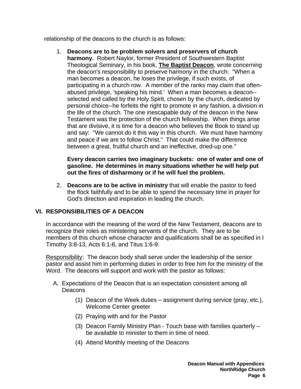relationship of the deacons to the church is as follows:

1. **Deacons are to be problem solvers and preservers of church harmony.** Robert Naylor, former President of Southwestern Baptist Theological Seminary, in his book, **The Baptist Deacon**, wrote concerning the deacon's responsibility to preserve harmony in the church: "When a man becomes a deacon, he loses the privilege, if such exists, of participating in a church row. A member of the ranks may claim that oftenabused privilege, 'speaking his mind.' When a man becomes a deacon- selected and called by the Holy Spirit, chosen by the church, dedicated by personal choice--he forfeits the right to promote in any fashion, a division in the life of the church. The one inescapable duty of the deacon in the New Testament was the protection of the church fellowship. When things arise that are divisive, it is time for a deacon who believes the Book to stand up and say: "We cannot do it this way in this church. We must have harmony and peace if we are to follow Christ." That could make the difference between a great, fruitful church and an ineffective, dried-up one."

#### **Every deacon carries two imaginary buckets: one of water and one of gasoline. He determines in many situations whether he will help put out the fires of disharmony or if he will fuel the problem.**

2. **Deacons are to be active in ministry** that will enable the pastor to feed the flock faithfully and to be able to spend the necessary time in prayer for God's direction and inspiration in leading the church.

#### **VI. RESPONSIBILITIES OF A DEACON**

In accordance with the meaning of the word of the New Testament, deacons are to recognize their roles as ministering servants of the church. They are to be members of this church whose character and qualifications shall be as specified in I Timothy 3:8-13, Acts 6:1-6, and Titus 1:6-9.

Responsibility: The deacon body shall serve under the leadership of the senior pastor and assist him in performing duties in order to free him for the ministry of the Word. The deacons will support and work with the pastor as follows:

- A. Expectations of the Deacon that is an expectation consistent among all Deacons
	- (1) Deacon of the Week duties assignment during service (pray, etc.), Welcome Center greeter
	- (2) Praying with and for the Pastor
	- (3) Deacon Family Ministry Plan Touch base with families quarterly be available to minister to them in time of need.
	- (4) Attend Monthly meeting of the Deacons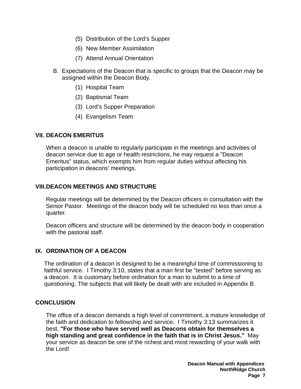- (5) Distribution of the Lord's Supper
- (6) New Member Assimilation
- (7) Attend Annual Orientation
- B. Expectations of the Deacon that is specific to groups that the Deacon may be assigned within the Deacon Body.
	- (1) Hospital Team
	- (2) Baptismal Team
	- (3) Lord's Supper Preparation
	- (4) Evangelism Team

#### **VII. DEACON EMERITUS**

When a deacon is unable to regularly participate in the meetings and activities of deacon service due to age or health restrictions, he may request a "Deacon Emeritus" status, which exempts him from regular duties without affecting his participation in deacons' meetings.

#### **VIII. DEACON MEETINGS AND STRUCTURE**

Regular meetings will be determined by the Deacon officers in consultation with the Senior Pastor. Meetings of the deacon body will be scheduled no less than once a quarter.

Deacon officers and structure will be determined by the deacon body in cooperation with the pastoral staff.

#### **IX. ORDINATION OF A DEACON**

The ordination of a deacon is designed to be a meaningful time of commissioning to faithful service. I Timothy 3:10, states that a man first be "tested" before serving as a deacon. It is customary before ordination for a man to submit to a time of questioning. The subjects that will likely be dealt with are included in Appendix B.

#### **CONCLUSION**

The office of a deacon demands a high level of commitment, a mature knowledge of the faith and dedication to fellowship and service. I Timothy 3:13 summarizes it best, **"For those who have served well as Deacons obtain for themselves a high standing and great confidence in the faith that is in Christ Jesus."** May your service as deacon be one of the richest and most rewarding of your walk with the Lord!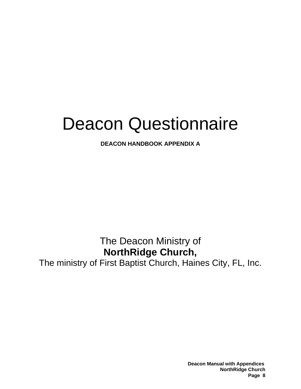# Deacon Questionnaire

**DEACON HANDBOOK APPENDIX A**

# The Deacon Ministry of **NorthRidge Church,**

The ministry of First Baptist Church, Haines City, FL, Inc.

 **Deacon Manual with Appendices NorthRidge Church Page 8**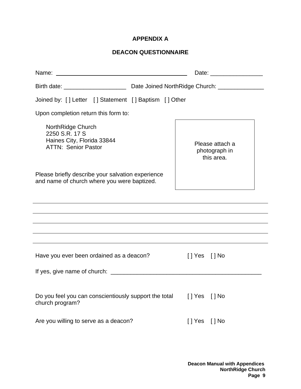#### **APPENDIX A**

#### **DEACON QUESTIONNAIRE**

| Joined by: [] Letter [] Statement [] Baptism [] Other                                            |                                                |  |
|--------------------------------------------------------------------------------------------------|------------------------------------------------|--|
| Upon completion return this form to:                                                             |                                                |  |
| NorthRidge Church<br>2250 S.R. 17 S<br>Haines City, Florida 33844<br><b>ATTN: Senior Pastor</b>  | Please attach a<br>photograph in<br>this area. |  |
| Please briefly describe your salvation experience<br>and name of church where you were baptized. |                                                |  |
|                                                                                                  |                                                |  |
|                                                                                                  |                                                |  |
|                                                                                                  |                                                |  |
| Have you ever been ordained as a deacon?                                                         | []Yes []No                                     |  |
|                                                                                                  |                                                |  |
| Do you feel you can conscientiously support the total<br>church program?                         | $[$   Yes $[$   No                             |  |
| Are you willing to serve as a deacon?                                                            | [ ] Yes<br>$[$ $]$ No                          |  |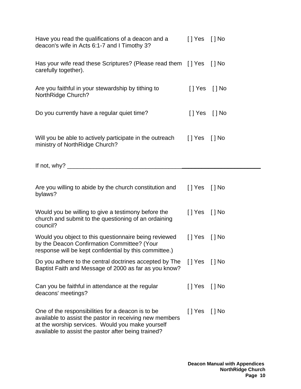| Have you read the qualifications of a deacon and a<br>deacon's wife in Acts 6:1-7 and I Timothy 3?                                                                                                                      | $[$   Yes $[$   No |          |
|-------------------------------------------------------------------------------------------------------------------------------------------------------------------------------------------------------------------------|--------------------|----------|
| Has your wife read these Scriptures? (Please read them [] Yes [] No<br>carefully together).                                                                                                                             |                    |          |
| Are you faithful in your stewardship by tithing to<br><b>NorthRidge Church?</b>                                                                                                                                         | [] Yes [] No       |          |
| Do you currently have a regular quiet time?                                                                                                                                                                             | [] Yes [] No       |          |
| Will you be able to actively participate in the outreach<br>ministry of NorthRidge Church?                                                                                                                              | [ ] Yes            | $[$   No |
|                                                                                                                                                                                                                         |                    |          |
| Are you willing to abide by the church constitution and<br>bylaws?                                                                                                                                                      | $[$   Yes $[$   No |          |
| Would you be willing to give a testimony before the<br>church and submit to the questioning of an ordaining<br>council?                                                                                                 | $[$   Yes $[$   No |          |
| Would you object to this questionnaire being reviewed<br>by the Deacon Confirmation Committee? (Your<br>response will be kept confidential by this committee.)                                                          | $[$   Yes $[$   No |          |
| Do you adhere to the central doctrines accepted by The<br>Baptist Faith and Message of 2000 as far as you know?                                                                                                         | []Yes []No         |          |
| Can you be faithful in attendance at the regular<br>deacons' meetings?                                                                                                                                                  | [] Yes [] No       |          |
| One of the responsibilities for a deacon is to be<br>available to assist the pastor in receiving new members<br>at the worship services. Would you make yourself<br>available to assist the pastor after being trained? | [] Yes [] No       |          |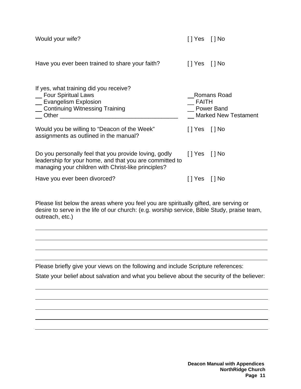| Would your wife?                                                                                                                                                        | []Yes []No          |                                       |
|-------------------------------------------------------------------------------------------------------------------------------------------------------------------------|---------------------|---------------------------------------|
| Have you ever been trained to share your faith?                                                                                                                         | $[$   Yes $[$   No  |                                       |
| If yes, what training did you receive?<br>_ Four Spiritual Laws<br>_ Evangelism Explosion<br>_ Continuing Witnessing Training                                           | FAITH<br>Power Band | Romans Road<br>_ Marked New Testament |
| Would you be willing to "Deacon of the Week"<br>assignments as outlined in the manual?                                                                                  | $[$   Yes $[$   No  |                                       |
| Do you personally feel that you provide loving, godly<br>leadership for your home, and that you are committed to<br>managing your children with Christ-like principles? | $[$   Yes $[$   No  |                                       |
| Have you ever been divorced?                                                                                                                                            | Yes                 | $\lceil$ No                           |

Please list below the areas where you feel you are spiritually gifted, are serving or desire to serve in the life of our church: (e.g. worship service, Bible Study, praise team, outreach, etc.)

Please briefly give your views on the following and include Scripture references:

State your belief about salvation and what you believe about the security of the believer: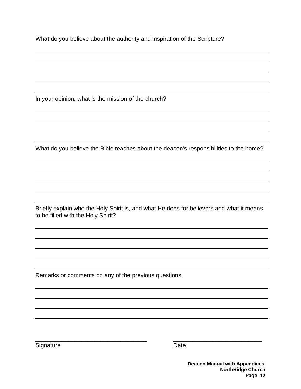| What do you believe about the authority and inspiration of the Scripture? |  |  |  |
|---------------------------------------------------------------------------|--|--|--|
|                                                                           |  |  |  |

In your opinion, what is the mission of the church?

What do you believe the Bible teaches about the deacon's responsibilities to the home?

Briefly explain who the Holy Spirit is, and what He does for believers and what it means to be filled with the Holy Spirit?

 $\overline{\phantom{a}}$  , and the contribution of the contribution of the contribution of  $\overline{\phantom{a}}$  , and  $\overline{\phantom{a}}$  , and  $\overline{\phantom{a}}$  , and  $\overline{\phantom{a}}$  , and  $\overline{\phantom{a}}$  , and  $\overline{\phantom{a}}$  , and  $\overline{\phantom{a}}$  , and  $\overline{\phantom{a}}$  , and

Remarks or comments on any of the previous questions:

Signature Date

 **Deacon Manual with Appendices NorthRidge Church Page 12**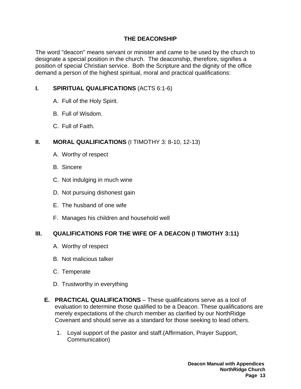#### **THE DEACONSHIP**

The word "deacon" means servant or minister and came to be used by the church to designate a special position in the church. The deaconship, therefore, signifies a position of special Christian service. Both the Scripture and the dignity of the office demand a person of the highest spiritual, moral and practical qualifications:

#### **I. SPIRITUAL QUALIFICATIONS** (ACTS 6:1-6)

- A. Full of the Holy Spirit.
- B. Full of Wisdom.
- C. Full of Faith.

#### **II. MORAL QUALIFICATIONS** (I TIMOTHY 3: 8-10, 12-13)

- A. Worthy of respect
- B. Sincere
- C. Not indulging in much wine
- D. Not pursuing dishonest gain
- E. The husband of one wife
- F. Manages his children and household well

#### **III. QUALIFICATIONS FOR THE WIFE OF A DEACON (I TIMOTHY 3:11)**

- A. Worthy of respect
- B. Not malicious talker
- C. Temperate
- D. Trustworthy in everything
- **E. PRACTICAL QUALIFICATIONS** These qualifications serve as a tool of evaluation to determine those qualified to be a Deacon. These qualifications are merely expectations of the church member as clarified by our NorthRidge Covenant and should serve as a standard for those seeking to lead others.
	- 1. Loyal support of the pastor and staff.(Affirmation, Prayer Support, Communication)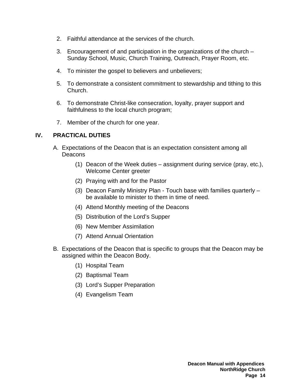- 2. Faithful attendance at the services of the church.
- 3. Encouragement of and participation in the organizations of the church Sunday School, Music, Church Training, Outreach, Prayer Room, etc.
- 4. To minister the gospel to believers and unbelievers;
- 5. To demonstrate a consistent commitment to stewardship and tithing to this Church.
- 6. To demonstrate Christ-like consecration, loyalty, prayer support and faithfulness to the local church program;
- 7. Member of the church for one year.

#### **IV. PRACTICAL DUTIES**

- A. Expectations of the Deacon that is an expectation consistent among all Deacons
	- (1) Deacon of the Week duties assignment during service (pray, etc.), Welcome Center greeter
	- (2) Praying with and for the Pastor
	- (3) Deacon Family Ministry Plan Touch base with families quarterly be available to minister to them in time of need.
	- (4) Attend Monthly meeting of the Deacons
	- (5) Distribution of the Lord's Supper
	- (6) New Member Assimilation
	- (7) Attend Annual Orientation
- B. Expectations of the Deacon that is specific to groups that the Deacon may be assigned within the Deacon Body.
	- (1) Hospital Team
	- (2) Baptismal Team
	- (3) Lord's Supper Preparation
	- (4) Evangelism Team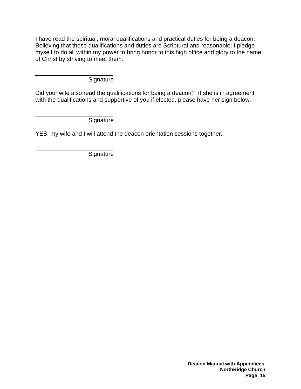I have read the spiritual, moral qualifications and practical duties for being a deacon. Believing that those qualifications and duties are Scriptural and reasonable; I pledge myself to do all within my power to bring honor to this high office and glory to the name of Christ by striving to meet them.

 \_ **Signature** 

Did your wife also read the qualifications for being a deacon? If she is in agreement with the qualifications and supportive of you if elected, please have her sign below.

 \_ **Signature** 

YES, my wife and I will attend the deacon orientation sessions together.

 \_ **Signature**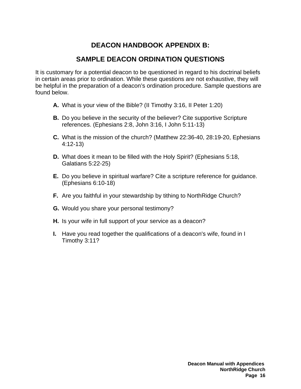## **DEACON HANDBOOK APPENDIX B:**

## **SAMPLE DEACON ORDINATION QUESTIONS**

It is customary for a potential deacon to be questioned in regard to his doctrinal beliefs in certain areas prior to ordination. While these questions are not exhaustive, they will be helpful in the preparation of a deacon's ordination procedure. Sample questions are found below.

- **A.** What is your view of the Bible? (II Timothy 3:16, II Peter 1:20)
- **B.** Do you believe in the security of the believer? Cite supportive Scripture references. (Ephesians 2:8, John 3:16, I John 5:11-13)
- **C.** What is the mission of the church? (Matthew 22:36-40, 28:19-20, Ephesians 4:12-13)
- **D.** What does it mean to be filled with the Holy Spirit? (Ephesians 5:18, Galatians 5:22-25)
- **E.** Do you believe in spiritual warfare? Cite a scripture reference for guidance. (Ephesians 6:10-18)
- **F.** Are you faithful in your stewardship by tithing to NorthRidge Church?
- **G.** Would you share your personal testimony?
- **H.** Is your wife in full support of your service as a deacon?
- **I.** Have you read together the qualifications of a deacon's wife, found in I Timothy 3:11?